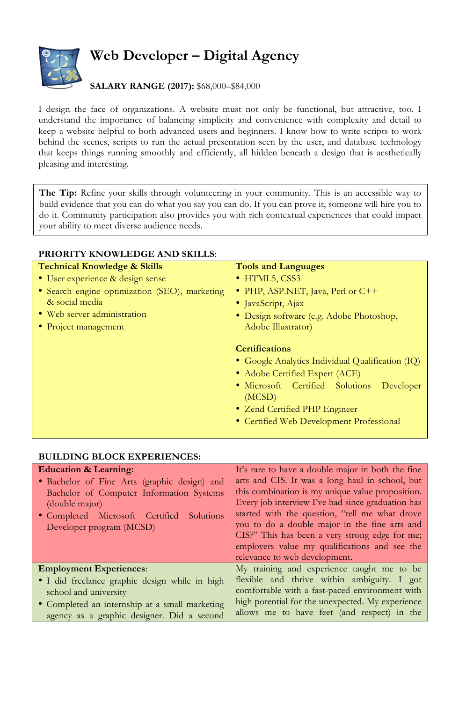

## **Web Developer – Digital Agency**

## **SALARY RANGE (2017):** \$68,000–\$84,000

I design the face of organizations. A website must not only be functional, but attractive, too. I understand the importance of balancing simplicity and convenience with complexity and detail to keep a website helpful to both advanced users and beginners. I know how to write scripts to work behind the scenes, scripts to run the actual presentation seen by the user, and database technology that keeps things running smoothly and efficiently, all hidden beneath a design that is aesthetically pleasing and interesting.

**The Tip:** Refine your skills through volunteering in your community. This is an accessible way to build evidence that you can do what you say you can do. If you can prove it, someone will hire you to do it. Community participation also provides you with rich contextual experiences that could impact your ability to meet diverse audience needs.

| <b>Technical Knowledge &amp; Skills</b>       | <b>Tools and Languages</b>                       |
|-----------------------------------------------|--------------------------------------------------|
| • User experience & design sense              | • HTML5, CSS3                                    |
| • Search engine optimization (SEO), marketing | • PHP, ASP.NET, Java, Perl or C++                |
| & social media                                | • JavaScript, Ajax                               |
| • Web server administration                   | • Design software (e.g. Adobe Photoshop,         |
| • Project management                          | Adobe Illustrator)                               |
|                                               |                                                  |
|                                               | <b>Certifications</b>                            |
|                                               | • Google Analytics Individual Qualification (IQ) |
|                                               | • Adobe Certified Expert (ACE)                   |
|                                               | · Microsoft Certified Solutions Developer        |
|                                               | (MCSD)                                           |
|                                               | • Zend Certified PHP Engineer                    |
|                                               | • Certified Web Development Professional         |
|                                               |                                                  |

## **PRIORITY KNOWLEDGE AND SKILLS**:

## **BUILDING BLOCK EXPERIENCES:**

| <b>Education &amp; Learning:</b><br>• Bachelor of Fine Arts (graphic design) and<br>Bachelor of Computer Information Systems<br>(double major)<br>• Completed Microsoft Certified<br>Solutions<br>Developer program (MCSD) | It's rare to have a double major in both the fine<br>arts and CIS. It was a long haul in school, but<br>this combination is my unique value proposition.<br>Every job interview I've had since graduation has<br>started with the question, "tell me what drove<br>you to do a double major in the fine arts and<br>CIS?" This has been a very strong edge for me;<br>employers value my qualifications and see the<br>relevance to web development. |
|----------------------------------------------------------------------------------------------------------------------------------------------------------------------------------------------------------------------------|------------------------------------------------------------------------------------------------------------------------------------------------------------------------------------------------------------------------------------------------------------------------------------------------------------------------------------------------------------------------------------------------------------------------------------------------------|
| <b>Employment Experiences:</b>                                                                                                                                                                                             | My training and experience taught me to be                                                                                                                                                                                                                                                                                                                                                                                                           |
| · I did freelance graphic design while in high<br>school and university<br>• Completed an internship at a small marketing<br>agency as a graphic designer. Did a second                                                    | flexible and thrive within ambiguity. I got<br>comfortable with a fast-paced environment with<br>high potential for the unexpected. My experience<br>allows me to have feet (and respect) in the                                                                                                                                                                                                                                                     |